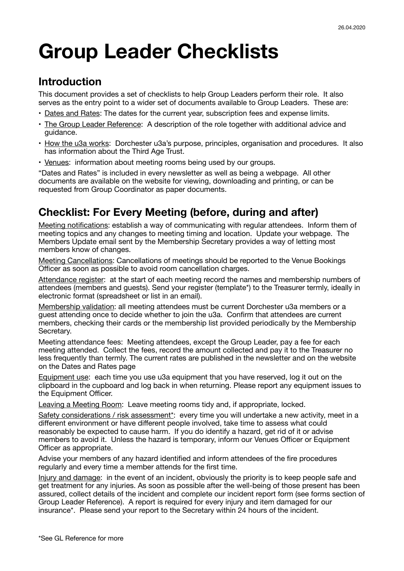# **Group Leader Checklists**

#### **Introduction**

This document provides a set of checklists to help Group Leaders perform their role. It also serves as the entry point to a wider set of documents available to Group Leaders. These are:

- Dates and Rates: The dates for the current year, subscription fees and expense limits.
- The Group Leader Reference: A description of the role together with additional advice and guidance.
- How the u3a works: Dorchester u3a's purpose, principles, organisation and procedures. It also has information about the Third Age Trust.
- Venues: information about meeting rooms being used by our groups.

"Dates and Rates" is included in every newsletter as well as being a webpage. All other documents are available on the website for viewing, downloading and printing, or can be requested from Group Coordinator as paper documents.

### **Checklist: For Every Meeting (before, during and after)**

Meeting notifications: establish a way of communicating with regular attendees. Inform them of meeting topics and any changes to meeting timing and location. Update your webpage. The Members Update email sent by the Membership Secretary provides a way of letting most members know of changes.

Meeting Cancellations: Cancellations of meetings should be reported to the Venue Bookings Officer as soon as possible to avoid room cancellation charges.

Attendance register: at the start of each meeting record the names and membership numbers of attendees (members and guests). Send your register (template\*) to the Treasurer termly, ideally in electronic format (spreadsheet or list in an email).

Membership validation: all meeting attendees must be current Dorchester u3a members or a guest attending once to decide whether to join the u3a. Confirm that attendees are current members, checking their cards or the membership list provided periodically by the Membership Secretary.

Meeting attendance fees: Meeting attendees, except the Group Leader, pay a fee for each meeting attended. Collect the fees, record the amount collected and pay it to the Treasurer no less frequently than termly. The current rates are published in the newsletter and on the website on the Dates and Rates page

Equipment use: each time you use u3a equipment that you have reserved, log it out on the clipboard in the cupboard and log back in when returning. Please report any equipment issues to the Equipment Officer.

Leaving a Meeting Room: Leave meeting rooms tidy and, if appropriate, locked.

Safety considerations / risk assessment\*: every time you will undertake a new activity, meet in a different environment or have different people involved, take time to assess what could reasonably be expected to cause harm. If you do identify a hazard, get rid of it or advise members to avoid it. Unless the hazard is temporary, inform our Venues Officer or Equipment Officer as appropriate.

Advise your members of any hazard identified and inform attendees of the fire procedures regularly and every time a member attends for the first time.

Injury and damage: in the event of an incident, obviously the priority is to keep people safe and get treatment for any injuries. As soon as possible after the well-being of those present has been assured, collect details of the incident and complete our incident report form (see forms section of Group Leader Reference). A report is required for every injury and item damaged for our insurance\*. Please send your report to the Secretary within 24 hours of the incident.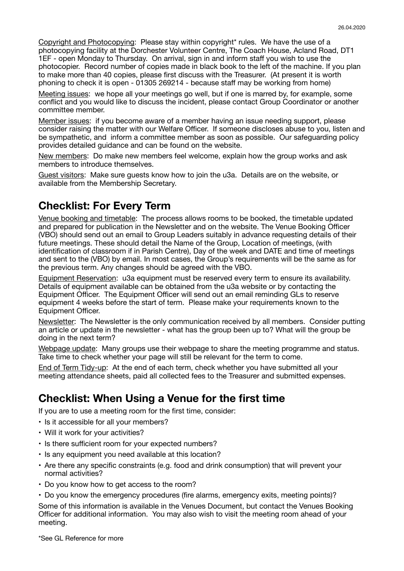Copyright and Photocopying: Please stay within copyright\* rules. We have the use of a photocopying facility at the Dorchester Volunteer Centre, The Coach House, Acland Road, DT1 1EF - open Monday to Thursday. On arrival, sign in and inform staff you wish to use the photocopier. Record number of copies made in black book to the left of the machine. If you plan to make more than 40 copies, please first discuss with the Treasurer. (At present it is worth phoning to check it is open - 01305 269214 - because staff may be working from home)

Meeting issues: we hope all your meetings go well, but if one is marred by, for example, some conflict and you would like to discuss the incident, please contact Group Coordinator or another committee member.

Member issues: if you become aware of a member having an issue needing support, please consider raising the matter with our Welfare Officer. If someone discloses abuse to you, listen and be sympathetic, and inform a committee member as soon as possible. Our safeguarding policy provides detailed guidance and can be found on the website.

New members: Do make new members feel welcome, explain how the group works and ask members to introduce themselves.

Guest visitors: Make sure guests know how to join the u3a. Details are on the website, or available from the Membership Secretary.

#### **Checklist: For Every Term**

Venue booking and timetable: The process allows rooms to be booked, the timetable updated and prepared for publication in the Newsletter and on the website. The Venue Booking Officer (VBO) should send out an email to Group Leaders suitably in advance requesting details of their future meetings. These should detail the Name of the Group, Location of meetings, (with identification of classroom if in Parish Centre), Day of the week and DATE and time of meetings and sent to the (VBO) by email. In most cases, the Group's requirements will be the same as for the previous term. Any changes should be agreed with the VBO.

Equipment Reservation: u3a equipment must be reserved every term to ensure its availability. Details of equipment available can be obtained from the u3a website or by contacting the Equipment Officer. The Equipment Officer will send out an email reminding GLs to reserve equipment 4 weeks before the start of term. Please make your requirements known to the Equipment Officer.

Newsletter: The Newsletter is the only communication received by all members. Consider putting an article or update in the newsletter - what has the group been up to? What will the group be doing in the next term?

Webpage update: Many groups use their webpage to share the meeting programme and status. Take time to check whether your page will still be relevant for the term to come.

End of Term Tidy-up: At the end of each term, check whether you have submitted all your meeting attendance sheets, paid all collected fees to the Treasurer and submitted expenses.

#### **Checklist: When Using a Venue for the first time**

If you are to use a meeting room for the first time, consider:

- Is it accessible for all your members?
- Will it work for your activities?
- Is there sufficient room for your expected numbers?
- Is any equipment you need available at this location?
- Are there any specific constraints (e.g. food and drink consumption) that will prevent your normal activities?
- Do you know how to get access to the room?
- Do you know the emergency procedures (fire alarms, emergency exits, meeting points)?

Some of this information is available in the Venues Document, but contact the Venues Booking Officer for additional information. You may also wish to visit the meeting room ahead of your meeting.